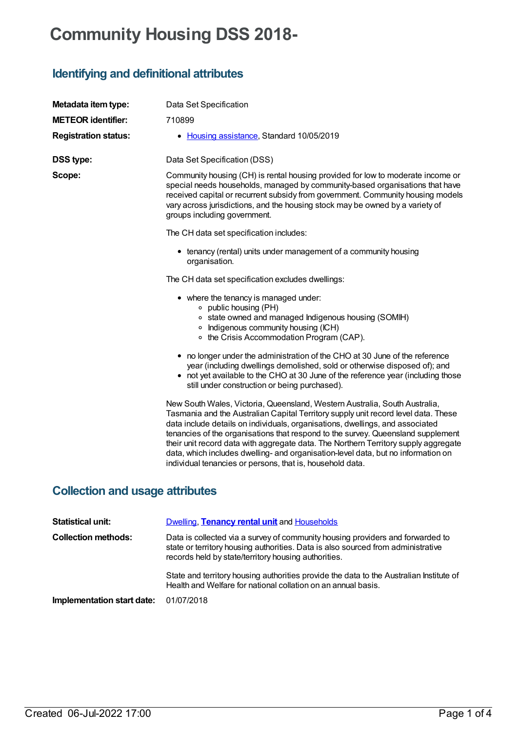# **Community Housing DSS 2018-**

# **Identifying and definitional attributes**

| Metadata item type:         | Data Set Specification                                                                                                                                                                                                                                                                                                                                                                                                                                                                                                                                                         |
|-----------------------------|--------------------------------------------------------------------------------------------------------------------------------------------------------------------------------------------------------------------------------------------------------------------------------------------------------------------------------------------------------------------------------------------------------------------------------------------------------------------------------------------------------------------------------------------------------------------------------|
| <b>METEOR identifier:</b>   | 710899                                                                                                                                                                                                                                                                                                                                                                                                                                                                                                                                                                         |
| <b>Registration status:</b> | • Housing assistance, Standard 10/05/2019                                                                                                                                                                                                                                                                                                                                                                                                                                                                                                                                      |
| <b>DSS type:</b>            | Data Set Specification (DSS)                                                                                                                                                                                                                                                                                                                                                                                                                                                                                                                                                   |
| Scope:                      | Community housing (CH) is rental housing provided for low to moderate income or<br>special needs households, managed by community-based organisations that have<br>received capital or recurrent subsidy from government. Community housing models<br>vary across jurisdictions, and the housing stock may be owned by a variety of<br>groups including government.                                                                                                                                                                                                            |
|                             | The CH data set specification includes:                                                                                                                                                                                                                                                                                                                                                                                                                                                                                                                                        |
|                             | • tenancy (rental) units under management of a community housing<br>organisation.                                                                                                                                                                                                                                                                                                                                                                                                                                                                                              |
|                             | The CH data set specification excludes dwellings:                                                                                                                                                                                                                                                                                                                                                                                                                                                                                                                              |
|                             | • where the tenancy is managed under:<br>○ public housing (PH)<br>o state owned and managed Indigenous housing (SOMIH)<br>• Indigenous community housing (ICH)<br>○ the Crisis Accommodation Program (CAP).                                                                                                                                                                                                                                                                                                                                                                    |
|                             | • no longer under the administration of the CHO at 30 June of the reference<br>year (including dwellings demolished, sold or otherwise disposed of); and<br>• not yet available to the CHO at 30 June of the reference year (including those<br>still under construction or being purchased).                                                                                                                                                                                                                                                                                  |
|                             | New South Wales, Victoria, Queensland, Western Australia, South Australia,<br>Tasmania and the Australian Capital Territory supply unit record level data. These<br>data include details on individuals, organisations, dwellings, and associated<br>tenancies of the organisations that respond to the survey. Queensland supplement<br>their unit record data with aggregate data. The Northern Territory supply aggregate<br>data, which includes dwelling- and organisation-level data, but no information on<br>individual tenancies or persons, that is, household data. |

## **Collection and usage attributes**

| <b>Statistical unit:</b>   | <b>Dwelling, Tenancy rental unit and Households</b>                                                                                                                                                                        |
|----------------------------|----------------------------------------------------------------------------------------------------------------------------------------------------------------------------------------------------------------------------|
| <b>Collection methods:</b> | Data is collected via a survey of community housing providers and forwarded to<br>state or territory housing authorities. Data is also sourced from administrative<br>records held by state/territory housing authorities. |
|                            | State and territory housing authorities provide the data to the Australian Institute of<br>Health and Welfare for national collation on an annual basis.                                                                   |
| Implementation start date: | 01/07/2018                                                                                                                                                                                                                 |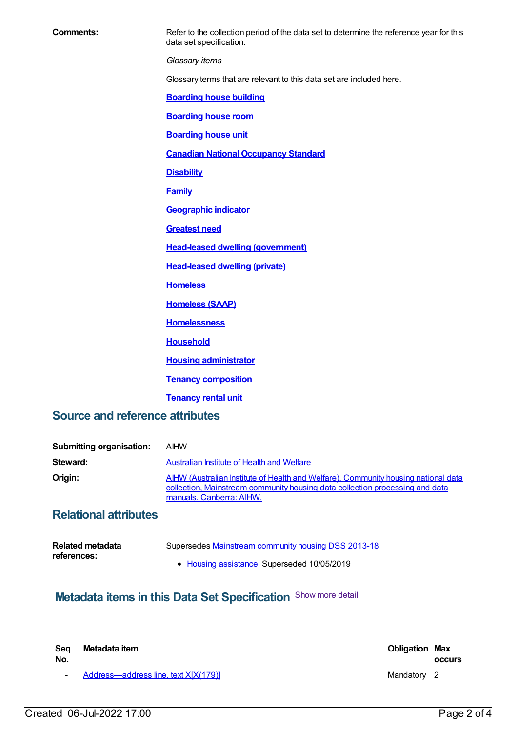**Comments:** Refer to the collection period of the data set to determine the reference year for this data set specification. *Glossary items* Glossary terms that are relevant to this data set are included here. **[Boarding](https://meteor.aihw.gov.au/content/327408) house building [Boarding](https://meteor.aihw.gov.au/content/327410) house room [Boarding](https://meteor.aihw.gov.au/content/327412) house unit Canadian National [Occupancy](https://meteor.aihw.gov.au/content/386254) Standard [Disability](https://meteor.aihw.gov.au/content/327304) [Family](https://meteor.aihw.gov.au/content/351499) [Geographic](https://meteor.aihw.gov.au/content/327306) indicator [Greatest](https://meteor.aihw.gov.au/content/494368) need Head-leased dwelling [\(government\)](https://meteor.aihw.gov.au/content/327318) [Head-leased](file:///content/639150) dwelling (private) [Homeless](https://meteor.aihw.gov.au/content/327244) [Homeless](https://meteor.aihw.gov.au/content/327316) (SAAP) [Homelessness](https://meteor.aihw.gov.au/content/401033) [Household](https://meteor.aihw.gov.au/content/465183) Housing [administrator](https://meteor.aihw.gov.au/content/494435) Tenancy [composition](https://meteor.aihw.gov.au/content/327444) [Tenancy](https://meteor.aihw.gov.au/content/464221) rental unit**

#### **Source and reference attributes**

| <b>Submitting organisation:</b> | <b>AIHW</b>                                                                                                                                                                                    |
|---------------------------------|------------------------------------------------------------------------------------------------------------------------------------------------------------------------------------------------|
| Steward:                        | Australian Institute of Health and Welfare                                                                                                                                                     |
| Origin:                         | AIHW (Australian Institute of Health and Welfare). Community housing national data<br>collection, Mainstream community housing data collection processing and data<br>manuals. Canberra: AIHW. |

### **Relational attributes**

| Related metadata | Supersedes Mainstream community housing DSS 2013-18 |
|------------------|-----------------------------------------------------|
| references:      |                                                     |
|                  | • Housing assistance, Superseded 10/05/2019         |

## **Metadata items in this Data Set Specification** Show more detail

| Sea<br>No. | Metadata item                          | <b>Obligation Max</b> | <b>OCCULS</b> |
|------------|----------------------------------------|-----------------------|---------------|
|            | - Address-address line, text X[X(179)] | Mandatory 2           |               |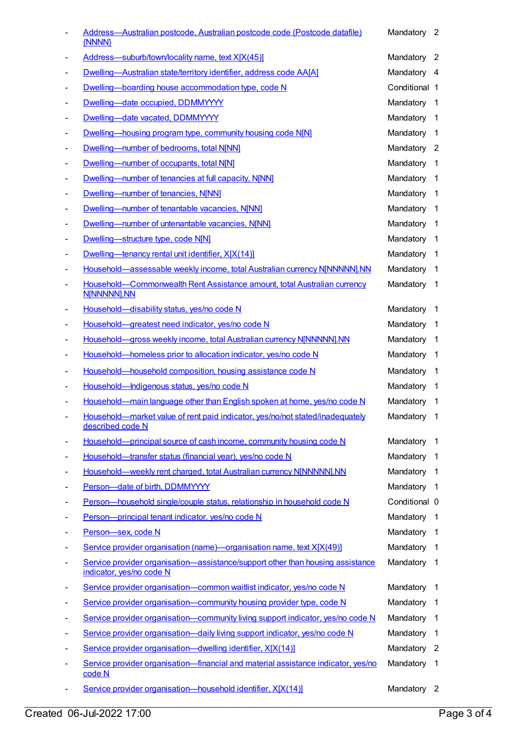|                          | Address-Australian postcode, Australian postcode code (Postcode datafile)<br>{NNNN}                        | Mandatory 2   |                            |
|--------------------------|------------------------------------------------------------------------------------------------------------|---------------|----------------------------|
|                          | Address-suburb/town/locality name, text X[X(45)]                                                           | Mandatory 2   |                            |
|                          | Dwelling-Australian state/territory identifier, address code AA[A]                                         | Mandatory 4   |                            |
| $\overline{\phantom{a}}$ | Dwelling-boarding house accommodation type, code N                                                         | Conditional 1 |                            |
| $\blacksquare$           | Dwelling-date occupied, DDMMYYYY                                                                           | Mandatory     | $\overline{1}$             |
| ٠                        | Dwelling-date vacated, DDMMYYYY                                                                            | Mandatory     | $\overline{1}$             |
| ٠                        | Dwelling—housing program type, community housing code N[N]                                                 | Mandatory     | $\overline{1}$             |
|                          | Dwelling-number of bedrooms, total N[NN]                                                                   | Mandatory 2   |                            |
| -                        | Dwelling-number of occupants, total N[N]                                                                   | Mandatory     | $\overline{1}$             |
|                          | Dwelling-number of tenancies at full capacity, N[NN]                                                       | Mandatory     | $\overline{1}$             |
| $\overline{a}$           | Dwelling-number of tenancies, N[NN]                                                                        | Mandatory     | $\overline{1}$             |
|                          | Dwelling-number of tenantable vacancies, N[NN]                                                             | Mandatory     | $\overline{1}$             |
|                          | Dwelling-number of untenantable vacancies, NJNN]                                                           | Mandatory     | $\overline{\phantom{0}}$ 1 |
|                          | Dwelling-structure type, code N[N]                                                                         | Mandatory     | $\overline{1}$             |
|                          | Dwelling—tenancy rental unit identifier, X[X(14)]                                                          | Mandatory     | $\overline{1}$             |
|                          | Household-assessable weekly income, total Australian currency N[NNNNN].NN                                  | Mandatory     | $\overline{1}$             |
| ۰                        | Household-Commonwealth Rent Assistance amount, total Australian currency<br>N[NNNNN].NN                    | Mandatory     | $\overline{1}$             |
| Ξ                        | Household-disability status, yes/no code N                                                                 | Mandatory     | - 1                        |
|                          | Household-greatest need indicator, yes/no code N                                                           | Mandatory     | $\overline{1}$             |
| -                        | Household-gross weekly income, total Australian currency N[NNNNN].NN                                       | Mandatory     | $\overline{1}$             |
|                          | Household-homeless prior to allocation indicator, yes/no code N                                            | Mandatory     | $\overline{1}$             |
|                          | Household-household composition, housing assistance code N                                                 | Mandatory     | $\overline{1}$             |
|                          | Household-Indigenous status, yes/no code N                                                                 | Mandatory 1   |                            |
|                          | Household—main language other than English spoken at home, yes/no code N                                   | Mandatory 1   |                            |
|                          | Household-market value of rent paid indicator, yes/no/not stated/inadequately<br>described code N          | Mandatory 1   |                            |
|                          | Household—principal source of cash income, community housing code N                                        | Mandatory     | $\mathbf 1$                |
| ٠                        | Household-transfer status (financial year), yes/no code N                                                  | Mandatory     | $\overline{1}$             |
| ۰                        | Household-weekly rent charged, total Australian currency N[NNNNN].NN                                       | Mandatory     | -1                         |
|                          | Person-date of birth, DDMMYYYY                                                                             | Mandatory     | $\overline{1}$             |
| -                        | Person-household single/couple status, relationship in household code N                                    | Conditional 0 |                            |
|                          | Person-principal tenant indicator, yes/no code N                                                           | Mandatory     | $\overline{1}$             |
|                          | Person-sex, code N                                                                                         | Mandatory     | $\overline{1}$             |
|                          | Service provider organisation (name)-organisation name, text X[X(49)]                                      | Mandatory     | $\overline{1}$             |
|                          | Service provider organisation-assistance/support other than housing assistance<br>indicator, yes/no code N | Mandatory     | $\overline{1}$             |
| -                        | Service provider organisation-common waitlist indicator, yes/no code N                                     | Mandatory     | -1                         |
| ٠                        | Service provider organisation-community housing provider type, code N                                      | Mandatory     | $\overline{1}$             |
| ٠                        | Service provider organisation—community living support indicator, yes/no code N                            | Mandatory     | -1                         |
| -                        | Service provider organisation-daily living support indicator, yes/no code N                                | Mandatory     | -1                         |
|                          | Service provider organisation-dwelling identifier, X[X(14)]                                                | Mandatory     | $\overline{\phantom{a}}$   |
|                          | Service provider organisation-financial and material assistance indicator, yes/no<br>code N                | Mandatory     | $\overline{1}$             |
|                          | Service provider organisation-household identifier, X[X(14)]                                               | Mandatory 2   |                            |